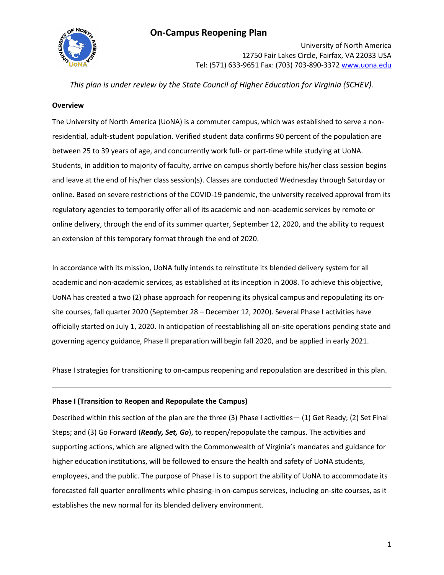

University of North America 12750 Fair Lakes Circle, Fairfax, VA 22033 USA Tel: (571) 633-9651 Fax: (703) 703-890-3372 [www.uona.edu](http://www.uona.edu/)

*This plan is under review by the State Council of Higher Education for Virginia (SCHEV).*

#### **Overview**

The University of North America (UoNA) is a commuter campus, which was established to serve a nonresidential, adult-student population. Verified student data confirms 90 percent of the population are between 25 to 39 years of age, and concurrently work full- or part-time while studying at UoNA. Students, in addition to majority of faculty, arrive on campus shortly before his/her class session begins and leave at the end of his/her class session(s). Classes are conducted Wednesday through Saturday or online. Based on severe restrictions of the COVID-19 pandemic, the university received approval from its regulatory agencies to temporarily offer all of its academic and non-academic services by remote or online delivery, through the end of its summer quarter, September 12, 2020, and the ability to request an extension of this temporary format through the end of 2020.

In accordance with its mission, UoNA fully intends to reinstitute its blended delivery system for all academic and non-academic services, as established at its inception in 2008. To achieve this objective, UoNA has created a two (2) phase approach for reopening its physical campus and repopulating its onsite courses, fall quarter 2020 (September 28 - December 12, 2020). Several Phase I activities have officially started on July 1, 2020. In anticipation of reestablishing all on-site operations pending state and governing agency guidance, Phase II preparation will begin fall 2020, and be applied in early 2021.

Phase I strategies for transitioning to on-campus reopening and repopulation are described in this plan.

#### **Phase I (Transition to Reopen and Repopulate the Campus)**

Described within this section of the plan are the three (3) Phase I activities— (1) Get Ready; (2) Set Final Steps; and (3) Go Forward (*Ready, Set, Go*), to reopen/repopulate the campus. The activities and supporting actions, which are aligned with the Commonwealth of Virginia's mandates and guidance for higher education institutions, will be followed to ensure the health and safety of UoNA students, employees, and the public. The purpose of Phase I is to support the ability of UoNA to accommodate its forecasted fall quarter enrollments while phasing-in on-campus services, including on-site courses, as it establishes the new normal for its blended delivery environment.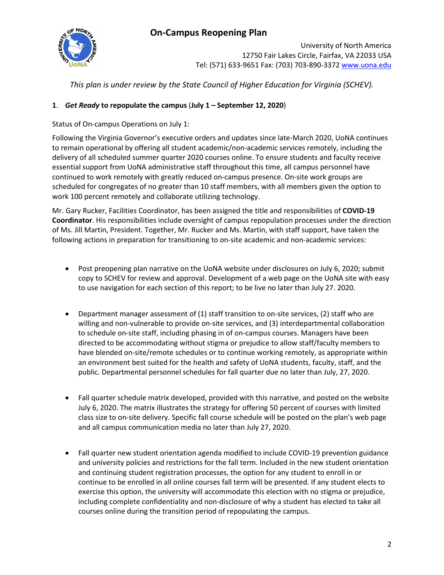

University of North America 12750 Fair Lakes Circle, Fairfax, VA 22033 USA Tel: (571) 633-9651 Fax: (703) 703-890-3372 [www.uona.edu](http://www.uona.edu/)

*This plan is under review by the State Council of Higher Education for Virginia (SCHEV).*

### **1**. *Get Ready* **to repopulate the campus** (**July 1 – September 12, 2020**)

Status of On-campus Operations on July 1:

Following the Virginia Governor's executive orders and updates since late-March 2020, UoNA continues to remain operational by offering all student academic/non-academic services remotely, including the delivery of all scheduled summer quarter 2020 courses online. To ensure students and faculty receive essential support from UoNA administrative staff throughout this time, all campus personnel have continued to work remotely with greatly reduced on-campus presence. On-site work groups are scheduled for congregates of no greater than 10 staff members, with all members given the option to work 100 percent remotely and collaborate utilizing technology.

Mr. Gary Rucker, Facilities Coordinator, has been assigned the title and responsibilities of **COVID-19 Coordinator**. His responsibilities include oversight of campus repopulation processes under the direction of Ms. Jill Martin, President. Together, Mr. Rucker and Ms. Martin, with staff support, have taken the following actions in preparation for transitioning to on-site academic and non-academic services:

- Post preopening plan narrative on the UoNA website under disclosures on July 6, 2020; submit copy to SCHEV for review and approval. Development of a web page on the UoNA site with easy to use navigation for each section of this report; to be live no later than July 27. 2020.
- Department manager assessment of (1) staff transition to on-site services, (2) staff who are willing and non-vulnerable to provide on-site services, and (3) interdepartmental collaboration to schedule on-site staff, including phasing in of on-campus courses. Managers have been directed to be accommodating without stigma or prejudice to allow staff/faculty members to have blended on-site/remote schedules or to continue working remotely, as appropriate within an environment best suited for the health and safety of UoNA students, faculty, staff, and the public. Departmental personnel schedules for fall quarter due no later than July, 27, 2020.
- Fall quarter schedule matrix developed, provided with this narrative, and posted on the website July 6, 2020. The matrix illustrates the strategy for offering 50 percent of courses with limited class size to on-site delivery. Specific fall course schedule will be posted on the plan's web page and all campus communication media no later than July 27, 2020.
- Fall quarter new student orientation agenda modified to include COVID-19 prevention guidance and university policies and restrictions for the fall term. Included in the new student orientation and continuing student registration processes, the option for any student to enroll in or continue to be enrolled in all online courses fall term will be presented. If any student elects to exercise this option, the university will accommodate this election with no stigma or prejudice, including complete confidentiality and non-disclosure of why a student has elected to take all courses online during the transition period of repopulating the campus.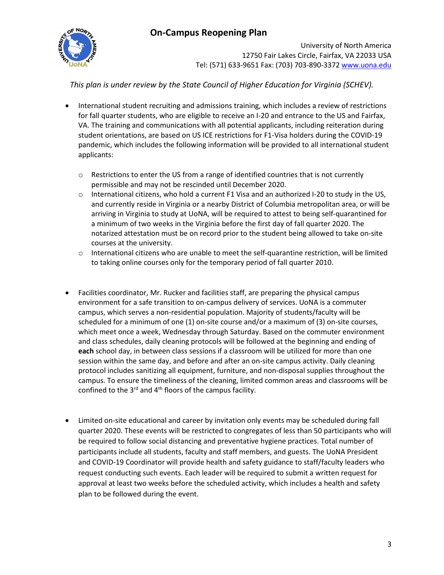

University of North America 12750 Fair Lakes Circle, Fairfax, VA 22033 USA Tel: (571) 633-9651 Fax: (703) 703-890-3372 [www.uona.edu](http://www.uona.edu/)

*This plan is under review by the State Council of Higher Education for Virginia (SCHEV).*

- International student recruiting and admissions training, which includes a review of restrictions for fall quarter students, who are eligible to receive an I-20 and entrance to the US and Fairfax, VA. The training and communications with all potential applicants, including reiteration during student orientations, are based on US ICE restrictions for F1-Visa holders during the COVID-19 pandemic, which includes the following information will be provided to all international student applicants:
	- $\circ$  Restrictions to enter the US from a range of identified countries that is not currently permissible and may not be rescinded until December 2020.
	- $\circ$  International citizens, who hold a current F1 Visa and an authorized I-20 to study in the US, and currently reside in Virginia or a nearby District of Columbia metropolitan area, or will be arriving in Virginia to study at UoNA, will be required to attest to being self-quarantined for a minimum of two weeks in the Virginia before the first day of fall quarter 2020. The notarized attestation must be on record prior to the student being allowed to take on-site courses at the university.
	- $\circ$  International citizens who are unable to meet the self-quarantine restriction, will be limited to taking online courses only for the temporary period of fall quarter 2010.
- Facilities coordinator, Mr. Rucker and facilities staff, are preparing the physical campus environment for a safe transition to on-campus delivery of services. UoNA is a commuter campus, which serves a non-residential population. Majority of students/faculty will be scheduled for a minimum of one (1) on-site course and/or a maximum of (3) on-site courses, which meet once a week, Wednesday through Saturday. Based on the commuter environment and class schedules, daily cleaning protocols will be followed at the beginning and ending of **each** school day, in between class sessions if a classroom will be utilized for more than one session within the same day, and before and after an on-site campus activity. Daily cleaning protocol includes sanitizing all equipment, furniture, and non-disposal supplies throughout the campus. To ensure the timeliness of the cleaning, limited common areas and classrooms will be confined to the  $3<sup>rd</sup>$  and  $4<sup>th</sup>$  floors of the campus facility.
- Limited on-site educational and career by invitation only events may be scheduled during fall quarter 2020. These events will be restricted to congregates of less than 50 participants who will be required to follow social distancing and preventative hygiene practices. Total number of participants include all students, faculty and staff members, and guests. The UoNA President and COVID-19 Coordinator will provide health and safety guidance to staff/faculty leaders who request conducting such events. Each leader will be required to submit a written request for approval at least two weeks before the scheduled activity, which includes a health and safety plan to be followed during the event.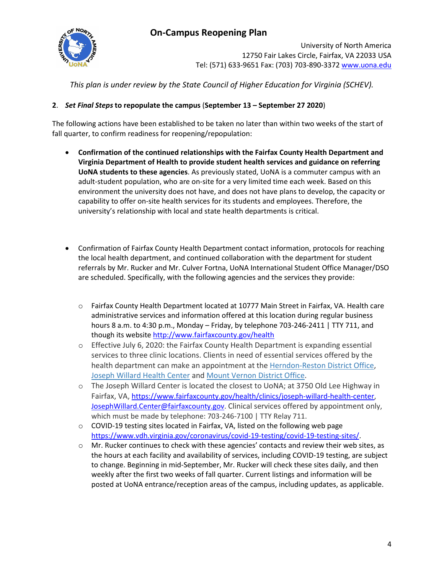

University of North America 12750 Fair Lakes Circle, Fairfax, VA 22033 USA Tel: (571) 633-9651 Fax: (703) 703-890-3372 [www.uona.edu](http://www.uona.edu/)

*This plan is under review by the State Council of Higher Education for Virginia (SCHEV).*

### **2**. *Set Final Steps* **to repopulate the campus** (**September 13 – September 27 2020**)

The following actions have been established to be taken no later than within two weeks of the start of fall quarter, to confirm readiness for reopening/repopulation:

- **Confirmation of the continued relationships with the Fairfax County Health Department and Virginia Department of Health to provide student health services and guidance on referring UoNA students to these agencies**. As previously stated, UoNA is a commuter campus with an adult-student population, who are on-site for a very limited time each week. Based on this environment the university does not have, and does not have plans to develop, the capacity or capability to offer on-site health services for its students and employees. Therefore, the university's relationship with local and state health departments is critical.
- Confirmation of Fairfax County Health Department contact information, protocols for reaching the local health department, and continued collaboration with the department for student referrals by Mr. Rucker and Mr. Culver Fortna, UoNA International Student Office Manager/DSO are scheduled. Specifically, with the following agencies and the services they provide:
	- o Fairfax County Health Department located at 10777 Main Street in Fairfax, VA. Health care administrative services and information offered at this location during regular business hours 8 a.m. to 4:30 p.m., Monday – Friday, by telephone 703-246-2411 | TTY 711, and though its website<http://www.fairfaxcounty.gov/health>
	- o Effective July 6, 2020: the Fairfax County Health Department is expanding essential services to three clinic locations. Clients in need of essential services offered by the health department can make an appointment at the [Herndon-Reston District Office,](https://www.fairfaxcounty.gov/health/clinics/herndon-reston-district-office) [Joseph Willard Health Center](https://www.fairfaxcounty.gov/health/clinics/joseph-willard-health-center) and [Mount Vernon District Office.](https://www.fairfaxcounty.gov/health/clinics/mount-vernon-district-office)
	- o The Joseph Willard Center is located the closest to UoNA; at 3750 Old Lee Highway in Fairfax, VA, [https://www.fairfaxcounty.gov/health/clinics/joseph-willard-health-center,](https://www.fairfaxcounty.gov/health/clinics/joseph-willard-health-center) [JosephWillard.Center@fairfaxcounty.gov.](mailto:JosephWillard.Center@fairfaxcounty.gov) Clinical services offered by appointment only, which must be made by telephone: 703-246-7100 | TTY Relay 711.
	- $\circ$  COVID-19 testing sites located in Fairfax, VA, listed on the following web page [https://www.vdh.virginia.gov/coronavirus/covid-19-testing/covid-19-testing-sites/.](https://www.vdh.virginia.gov/coronavirus/covid-19-testing/covid-19-testing-sites/)
	- o Mr. Rucker continues to check with these agencies' contacts and review their web sites, as the hours at each facility and availability of services, including COVID-19 testing, are subject to change. Beginning in mid-September, Mr. Rucker will check these sites daily, and then weekly after the first two weeks of fall quarter. Current listings and information will be posted at UoNA entrance/reception areas of the campus, including updates, as applicable.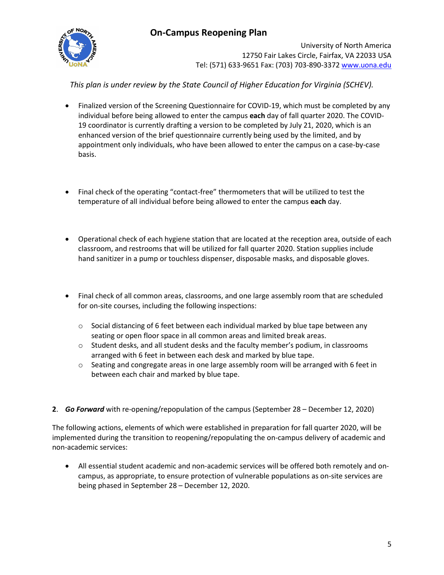

University of North America 12750 Fair Lakes Circle, Fairfax, VA 22033 USA Tel: (571) 633-9651 Fax: (703) 703-890-3372 [www.uona.edu](http://www.uona.edu/)

*This plan is under review by the State Council of Higher Education for Virginia (SCHEV).*

- Finalized version of the Screening Questionnaire for COVID-19, which must be completed by any individual before being allowed to enter the campus **each** day of fall quarter 2020. The COVID-19 coordinator is currently drafting a version to be completed by July 21, 2020, which is an enhanced version of the brief questionnaire currently being used by the limited, and by appointment only individuals, who have been allowed to enter the campus on a case-by-case basis.
- Final check of the operating "contact-free" thermometers that will be utilized to test the temperature of all individual before being allowed to enter the campus **each** day.
- Operational check of each hygiene station that are located at the reception area, outside of each classroom, and restrooms that will be utilized for fall quarter 2020. Station supplies include hand sanitizer in a pump or touchless dispenser, disposable masks, and disposable gloves.
- Final check of all common areas, classrooms, and one large assembly room that are scheduled for on-site courses, including the following inspections:
	- $\circ$  Social distancing of 6 feet between each individual marked by blue tape between any seating or open floor space in all common areas and limited break areas.
	- o Student desks, and all student desks and the faculty member's podium, in classrooms arranged with 6 feet in between each desk and marked by blue tape.
	- $\circ$  Seating and congregate areas in one large assembly room will be arranged with 6 feet in between each chair and marked by blue tape.
- **2**. *Go Forward* with re-opening/repopulation of the campus (September 28 December 12, 2020)

The following actions, elements of which were established in preparation for fall quarter 2020, will be implemented during the transition to reopening/repopulating the on-campus delivery of academic and non-academic services:

• All essential student academic and non-academic services will be offered both remotely and oncampus, as appropriate, to ensure protection of vulnerable populations as on-site services are being phased in September 28 – December 12, 2020.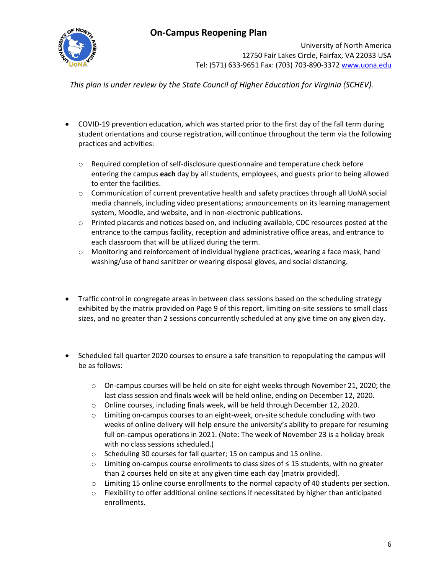

University of North America 12750 Fair Lakes Circle, Fairfax, VA 22033 USA Tel: (571) 633-9651 Fax: (703) 703-890-3372 [www.uona.edu](http://www.uona.edu/)

*This plan is under review by the State Council of Higher Education for Virginia (SCHEV).*

- COVID-19 prevention education, which was started prior to the first day of the fall term during student orientations and course registration, will continue throughout the term via the following practices and activities:
	- $\circ$  Required completion of self-disclosure questionnaire and temperature check before entering the campus **each** day by all students, employees, and guests prior to being allowed to enter the facilities.
	- $\circ$  Communication of current preventative health and safety practices through all UoNA social media channels, including video presentations; announcements on its learning management system, Moodle, and website, and in non-electronic publications.
	- $\circ$  Printed placards and notices based on, and including available, CDC resources posted at the entrance to the campus facility, reception and administrative office areas, and entrance to each classroom that will be utilized during the term.
	- o Monitoring and reinforcement of individual hygiene practices, wearing a face mask, hand washing/use of hand sanitizer or wearing disposal gloves, and social distancing.
- Traffic control in congregate areas in between class sessions based on the scheduling strategy exhibited by the matrix provided on Page 9 of this report, limiting on-site sessions to small class sizes, and no greater than 2 sessions concurrently scheduled at any give time on any given day.
- Scheduled fall quarter 2020 courses to ensure a safe transition to repopulating the campus will be as follows:
	- o On-campus courses will be held on site for eight weeks through November 21, 2020; the last class session and finals week will be held online, ending on December 12, 2020.
	- o Online courses, including finals week, will be held through December 12, 2020.
	- o Limiting on-campus courses to an eight-week, on-site schedule concluding with two weeks of online delivery will help ensure the university's ability to prepare for resuming full on-campus operations in 2021. (Note: The week of November 23 is a holiday break with no class sessions scheduled.)
	- o Scheduling 30 courses for fall quarter; 15 on campus and 15 online.
	- o Limiting on-campus course enrollments to class sizes of ≤ 15 students, with no greater than 2 courses held on site at any given time each day (matrix provided).
	- o Limiting 15 online course enrollments to the normal capacity of 40 students per section.
	- $\circ$  Flexibility to offer additional online sections if necessitated by higher than anticipated enrollments.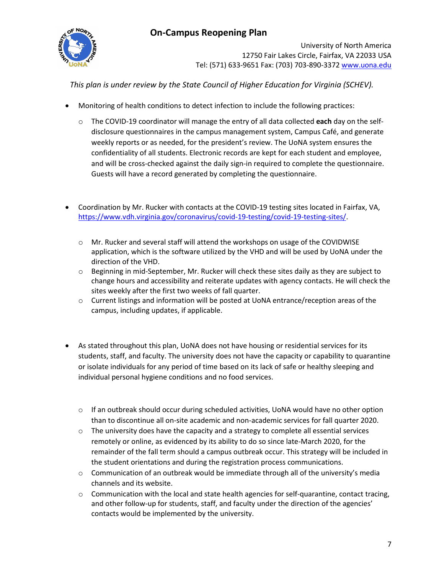

University of North America 12750 Fair Lakes Circle, Fairfax, VA 22033 USA Tel: (571) 633-9651 Fax: (703) 703-890-3372 [www.uona.edu](http://www.uona.edu/)

*This plan is under review by the State Council of Higher Education for Virginia (SCHEV).*

- Monitoring of health conditions to detect infection to include the following practices:
	- o The COVID-19 coordinator will manage the entry of all data collected **each** day on the selfdisclosure questionnaires in the campus management system, Campus Café, and generate weekly reports or as needed, for the president's review. The UoNA system ensures the confidentiality of all students. Electronic records are kept for each student and employee, and will be cross-checked against the daily sign-in required to complete the questionnaire. Guests will have a record generated by completing the questionnaire.
- Coordination by Mr. Rucker with contacts at the COVID-19 testing sites located in Fairfax, VA, [https://www.vdh.virginia.gov/coronavirus/covid-19-testing/covid-19-testing-sites/.](https://www.vdh.virginia.gov/coronavirus/covid-19-testing/covid-19-testing-sites/)
	- $\circ$  Mr. Rucker and several staff will attend the workshops on usage of the COVIDWISE application, which is the software utilized by the VHD and will be used by UoNA under the direction of the VHD.
	- o Beginning in mid-September, Mr. Rucker will check these sites daily as they are subject to change hours and accessibility and reiterate updates with agency contacts. He will check the sites weekly after the first two weeks of fall quarter.
	- $\circ$  Current listings and information will be posted at UoNA entrance/reception areas of the campus, including updates, if applicable.
- As stated throughout this plan, UoNA does not have housing or residential services for its students, staff, and faculty. The university does not have the capacity or capability to quarantine or isolate individuals for any period of time based on its lack of safe or healthy sleeping and individual personal hygiene conditions and no food services.
	- $\circ$  If an outbreak should occur during scheduled activities, UoNA would have no other option than to discontinue all on-site academic and non-academic services for fall quarter 2020.
	- $\circ$  The university does have the capacity and a strategy to complete all essential services remotely or online, as evidenced by its ability to do so since late-March 2020, for the remainder of the fall term should a campus outbreak occur. This strategy will be included in the student orientations and during the registration process communications.
	- $\circ$  Communication of an outbreak would be immediate through all of the university's media channels and its website.
	- $\circ$  Communication with the local and state health agencies for self-quarantine, contact tracing, and other follow-up for students, staff, and faculty under the direction of the agencies' contacts would be implemented by the university.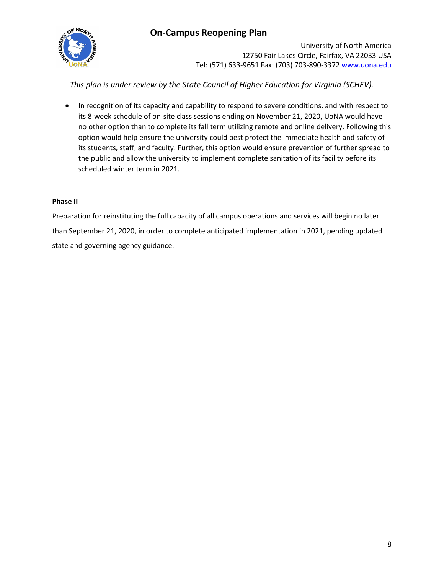

University of North America 12750 Fair Lakes Circle, Fairfax, VA 22033 USA Tel: (571) 633-9651 Fax: (703) 703-890-3372 [www.uona.edu](http://www.uona.edu/)

*This plan is under review by the State Council of Higher Education for Virginia (SCHEV).*

• In recognition of its capacity and capability to respond to severe conditions, and with respect to its 8-week schedule of on-site class sessions ending on November 21, 2020, UoNA would have no other option than to complete its fall term utilizing remote and online delivery. Following this option would help ensure the university could best protect the immediate health and safety of its students, staff, and faculty. Further, this option would ensure prevention of further spread to the public and allow the university to implement complete sanitation of its facility before its scheduled winter term in 2021.

#### **Phase II**

Preparation for reinstituting the full capacity of all campus operations and services will begin no later than September 21, 2020, in order to complete anticipated implementation in 2021, pending updated state and governing agency guidance.